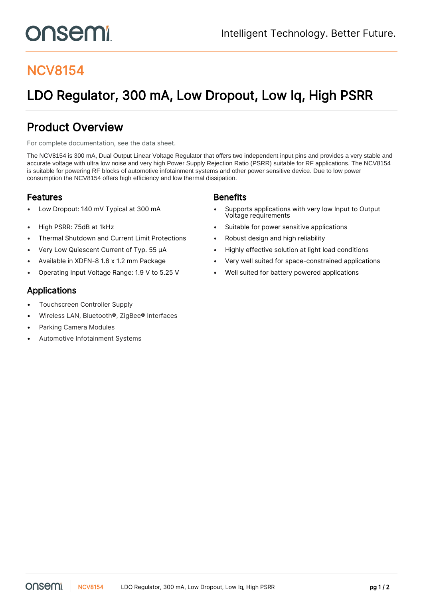# onsemi

## NCV8154

# LDO Regulator, 300 mA, Low Dropout, Low Iq, High PSRR

### Product Overview

For complete documentation, see the [data sheet.](https://www.onsemi.com/PowerSolutions/product.do?id=NCV8154)

The NCV8154 is 300 mA, Dual Output Linear Voltage Regulator that offers two independent input pins and provides a very stable and accurate voltage with ultra low noise and very high Power Supply Rejection Ratio (PSRR) suitable for RF applications. The NCV8154 is suitable for powering RF blocks of automotive infotainment systems and other power sensitive device. Due to low power consumption the NCV8154 offers high efficiency and low thermal dissipation.

#### **Features Benefits**

- 
- 
- Thermal Shutdown and Current Limit Protections Robust design and high reliability
- 
- 
- 

- Low Dropout: 140 mV Typical at 300 mA Supports applications with very low Input to Output Voltage requirements
- High PSRR: 75dB at 1kHz Suitable for power sensitive applications
	-
- Very Low Quiescent Current of Typ. 55 µA Highly effective solution at light load conditions
- Available in XDFN-8 1.6 x 1.2 mm Package Very well suited for space-constrained applications
- Operating Input Voltage Range: 1.9 V to 5.25 V Well suited for battery powered applications

#### Applications

- Touchscreen Controller Supply
- Wireless LAN, Bluetooth®, ZigBee® Interfaces
- Parking Camera Modules
- Automotive Infotainment Systems